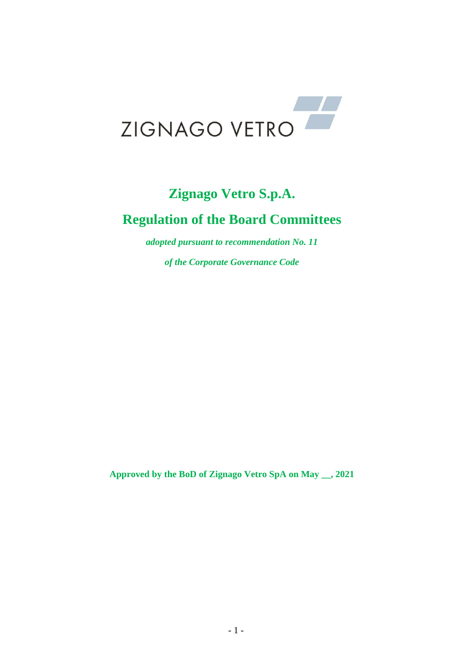

# **Zignago Vetro S.p.A. Regulation of the Board Committees**

*adopted pursuant to recommendation No. 11* 

*of the Corporate Governance Code*

**Approved by the BoD of Zignago Vetro SpA on May \_\_, 2021**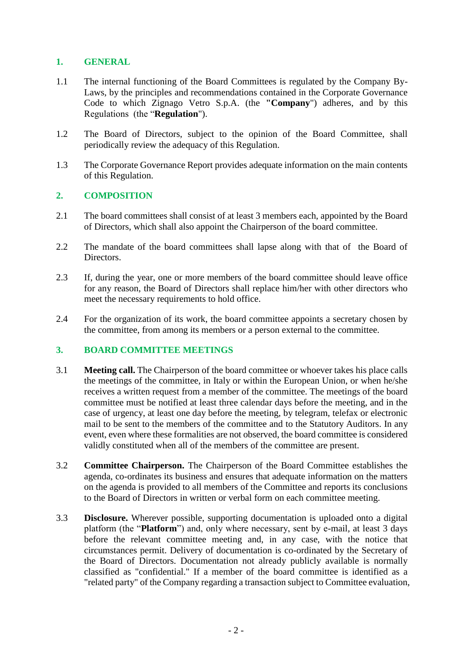## **1. GENERAL**

- 1.1 The internal functioning of the Board Committees is regulated by the Company By-Laws, by the principles and recommendations contained in the Corporate Governance Code to which Zignago Vetro S.p.A. (the **"Company**") adheres, and by this Regulations (the "**Regulation**").
- 1.2 The Board of Directors, subject to the opinion of the Board Committee, shall periodically review the adequacy of this Regulation.
- 1.3 The Corporate Governance Report provides adequate information on the main contents of this Regulation.

### **2. COMPOSITION**

- 2.1 The board committees shall consist of at least 3 members each, appointed by the Board of Directors, which shall also appoint the Chairperson of the board committee.
- 2.2 The mandate of the board committees shall lapse along with that of the Board of Directors.
- 2.3 If, during the year, one or more members of the board committee should leave office for any reason, the Board of Directors shall replace him/her with other directors who meet the necessary requirements to hold office.
- 2.4 For the organization of its work, the board committee appoints a secretary chosen by the committee, from among its members or a person external to the committee.

### **3. BOARD COMMITTEE MEETINGS**

- 3.1 **Meeting call.** The Chairperson of the board committee or whoever takes his place calls the meetings of the committee, in Italy or within the European Union, or when he/she receives a written request from a member of the committee. The meetings of the board committee must be notified at least three calendar days before the meeting, and in the case of urgency, at least one day before the meeting, by telegram, telefax or electronic mail to be sent to the members of the committee and to the Statutory Auditors. In any event, even where these formalities are not observed, the board committee is considered validly constituted when all of the members of the committee are present.
- 3.2 **Committee Chairperson.** The Chairperson of the Board Committee establishes the agenda, co-ordinates its business and ensures that adequate information on the matters on the agenda is provided to all members of the Committee and reports its conclusions to the Board of Directors in written or verbal form on each committee meeting.
- 3.3 **Disclosure.** Wherever possible, supporting documentation is uploaded onto a digital platform (the "**Platform**") and, only where necessary, sent by e-mail*,* at least 3 days before the relevant committee meeting and, in any case, with the notice that circumstances permit. Delivery of documentation is co-ordinated by the Secretary of the Board of Directors. Documentation not already publicly available is normally classified as "confidential." If a member of the board committee is identified as a "related party" of the Company regarding a transaction subject to Committee evaluation,